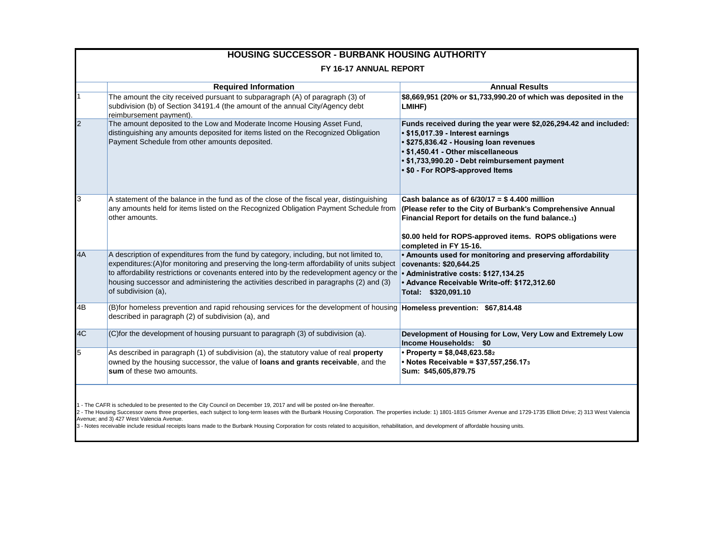| <b>HOUSING SUCCESSOR - BURBANK HOUSING AUTHORITY</b> |                                                                                                                                                                                                                                                                                                                                                                                                      |                                                                                                                                                                                                                                                                           |  |  |
|------------------------------------------------------|------------------------------------------------------------------------------------------------------------------------------------------------------------------------------------------------------------------------------------------------------------------------------------------------------------------------------------------------------------------------------------------------------|---------------------------------------------------------------------------------------------------------------------------------------------------------------------------------------------------------------------------------------------------------------------------|--|--|
| FY 16-17 ANNUAL REPORT                               |                                                                                                                                                                                                                                                                                                                                                                                                      |                                                                                                                                                                                                                                                                           |  |  |
|                                                      | <b>Required Information</b>                                                                                                                                                                                                                                                                                                                                                                          | <b>Annual Results</b>                                                                                                                                                                                                                                                     |  |  |
|                                                      | The amount the city received pursuant to subparagraph (A) of paragraph (3) of<br>subdivision (b) of Section 34191.4 (the amount of the annual City/Agency debt<br>reimbursement payment).                                                                                                                                                                                                            | \$8,669,951 (20% or \$1,733,990.20 of which was deposited in the<br>LMIHF)                                                                                                                                                                                                |  |  |
|                                                      | The amount deposited to the Low and Moderate Income Housing Asset Fund,<br>distinguishing any amounts deposited for items listed on the Recognized Obligation<br>Payment Schedule from other amounts deposited.                                                                                                                                                                                      | Funds received during the year were \$2,026,294.42 and included:<br>• \$15,017.39 - Interest earnings<br>• \$275,836.42 - Housing loan revenues<br>• \$1,450.41 - Other miscellaneous<br>• \$1,733,990.20 - Debt reimbursement payment<br>• \$0 - For ROPS-approved Items |  |  |
| 3                                                    | A statement of the balance in the fund as of the close of the fiscal year, distinguishing<br>any amounts held for items listed on the Recognized Obligation Payment Schedule from<br>other amounts.                                                                                                                                                                                                  | Cash balance as of $6/30/17 = $4.400$ million<br>(Please refer to the City of Burbank's Comprehensive Annual<br>Financial Report for details on the fund balance.1)<br>\$0.00 held for ROPS-approved items. ROPS obligations were<br>completed in FY 15-16.               |  |  |
| 4A                                                   | A description of expenditures from the fund by category, including, but not limited to,<br>expenditures:(A)for monitoring and preserving the long-term affordability of units subject<br>to affordability restrictions or covenants entered into by the redevelopment agency or the<br>housing successor and administering the activities described in paragraphs (2) and (3)<br>of subdivision (a), | • Amounts used for monitoring and preserving affordability<br>covenants: \$20,644.25<br>• Administrative costs: \$127,134.25<br>• Advance Receivable Write-off: \$172,312.60<br>Total: \$320,091.10                                                                       |  |  |
| 4B                                                   | (B)for homeless prevention and rapid rehousing services for the development of housing Homeless prevention: \$67,814.48<br>described in paragraph (2) of subdivision (a), and                                                                                                                                                                                                                        |                                                                                                                                                                                                                                                                           |  |  |
| 4C                                                   | (C)for the development of housing pursuant to paragraph (3) of subdivision (a).                                                                                                                                                                                                                                                                                                                      | Development of Housing for Low, Very Low and Extremely Low<br>Income Households: \$0                                                                                                                                                                                      |  |  |
| 5                                                    | As described in paragraph (1) of subdivision (a), the statutory value of real property<br>owned by the housing successor, the value of loans and grants receivable, and the<br>sum of these two amounts.                                                                                                                                                                                             | • Property = $$8,048,623.582$<br>• Notes Receivable = $$37,557,256.173$<br>Sum: \$45,605,879.75                                                                                                                                                                           |  |  |
|                                                      |                                                                                                                                                                                                                                                                                                                                                                                                      |                                                                                                                                                                                                                                                                           |  |  |

1 - The CAFR is scheduled to be presented to the City Council on December 19, 2017 and will be posted on-line thereafter.<br>2 - The Housing Successor owns three properties, each subject to long-term leases with the Burbank H

3 - Notes receivable include residual receipts loans made to the Burbank Housing Corporation for costs related to acquisition, rehabilitation, and development of affordable housing units.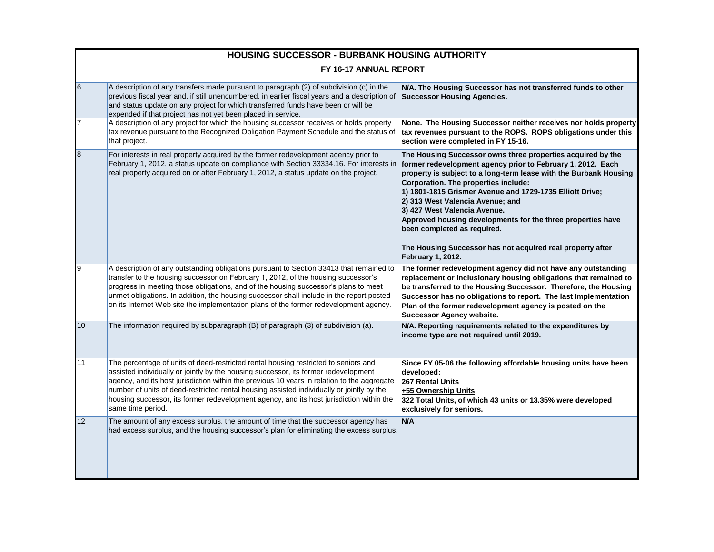| <b>HOUSING SUCCESSOR - BURBANK HOUSING AUTHORITY</b> |                                                                                                                                                                                                                                                                                                                                                                                                                                                                                         |                                                                                                                                                                                                                                                                                                                                                                                                                                                                                                                                                          |  |  |
|------------------------------------------------------|-----------------------------------------------------------------------------------------------------------------------------------------------------------------------------------------------------------------------------------------------------------------------------------------------------------------------------------------------------------------------------------------------------------------------------------------------------------------------------------------|----------------------------------------------------------------------------------------------------------------------------------------------------------------------------------------------------------------------------------------------------------------------------------------------------------------------------------------------------------------------------------------------------------------------------------------------------------------------------------------------------------------------------------------------------------|--|--|
| FY 16-17 ANNUAL REPORT                               |                                                                                                                                                                                                                                                                                                                                                                                                                                                                                         |                                                                                                                                                                                                                                                                                                                                                                                                                                                                                                                                                          |  |  |
| $6\phantom{.}6$                                      | A description of any transfers made pursuant to paragraph (2) of subdivision (c) in the<br>previous fiscal year and, if still unencumbered, in earlier fiscal years and a description of<br>and status update on any project for which transferred funds have been or will be<br>expended if that project has not yet been placed in service.                                                                                                                                           | N/A. The Housing Successor has not transferred funds to other<br><b>Successor Housing Agencies.</b>                                                                                                                                                                                                                                                                                                                                                                                                                                                      |  |  |
| $\overline{7}$                                       | A description of any project for which the housing successor receives or holds property<br>tax revenue pursuant to the Recognized Obligation Payment Schedule and the status of<br>that project.                                                                                                                                                                                                                                                                                        | None. The Housing Successor neither receives nor holds property<br>tax revenues pursuant to the ROPS. ROPS obligations under this<br>section were completed in FY 15-16.                                                                                                                                                                                                                                                                                                                                                                                 |  |  |
| 8                                                    | For interests in real property acquired by the former redevelopment agency prior to<br>February 1, 2012, a status update on compliance with Section 33334.16. For interests in<br>real property acquired on or after February 1, 2012, a status update on the project.                                                                                                                                                                                                                  | The Housing Successor owns three properties acquired by the<br>former redevelopment agency prior to February 1, 2012. Each<br>property is subject to a long-term lease with the Burbank Housing<br>Corporation. The properties include:<br>1) 1801-1815 Grismer Avenue and 1729-1735 Elliott Drive;<br>2) 313 West Valencia Avenue; and<br>3) 427 West Valencia Avenue.<br>Approved housing developments for the three properties have<br>been completed as required.<br>The Housing Successor has not acquired real property after<br>February 1, 2012. |  |  |
| 9                                                    | A description of any outstanding obligations pursuant to Section 33413 that remained to<br>transfer to the housing successor on February 1, 2012, of the housing successor's<br>progress in meeting those obligations, and of the housing successor's plans to meet<br>unmet obligations. In addition, the housing successor shall include in the report posted<br>on its Internet Web site the implementation plans of the former redevelopment agency.                                | The former redevelopment agency did not have any outstanding<br>replacement or inclusionary housing obligations that remained to<br>be transferred to the Housing Successor. Therefore, the Housing<br>Successor has no obligations to report. The last Implementation<br>Plan of the former redevelopment agency is posted on the<br><b>Successor Agency website.</b>                                                                                                                                                                                   |  |  |
| 10                                                   | The information required by subparagraph (B) of paragraph (3) of subdivision (a).                                                                                                                                                                                                                                                                                                                                                                                                       | N/A. Reporting requirements related to the expenditures by<br>income type are not required until 2019.                                                                                                                                                                                                                                                                                                                                                                                                                                                   |  |  |
| 11                                                   | The percentage of units of deed-restricted rental housing restricted to seniors and<br>assisted individually or jointly by the housing successor, its former redevelopment<br>agency, and its host jurisdiction within the previous 10 years in relation to the aggregate<br>number of units of deed-restricted rental housing assisted individually or jointly by the<br>housing successor, its former redevelopment agency, and its host jurisdiction within the<br>same time period. | Since FY 05-06 the following affordable housing units have been<br>developed:<br>267 Rental Units<br>+55 Ownership Units<br>322 Total Units, of which 43 units or 13.35% were developed<br>exclusively for seniors.                                                                                                                                                                                                                                                                                                                                      |  |  |
| 12                                                   | The amount of any excess surplus, the amount of time that the successor agency has<br>had excess surplus, and the housing successor's plan for eliminating the excess surplus.                                                                                                                                                                                                                                                                                                          | N/A                                                                                                                                                                                                                                                                                                                                                                                                                                                                                                                                                      |  |  |